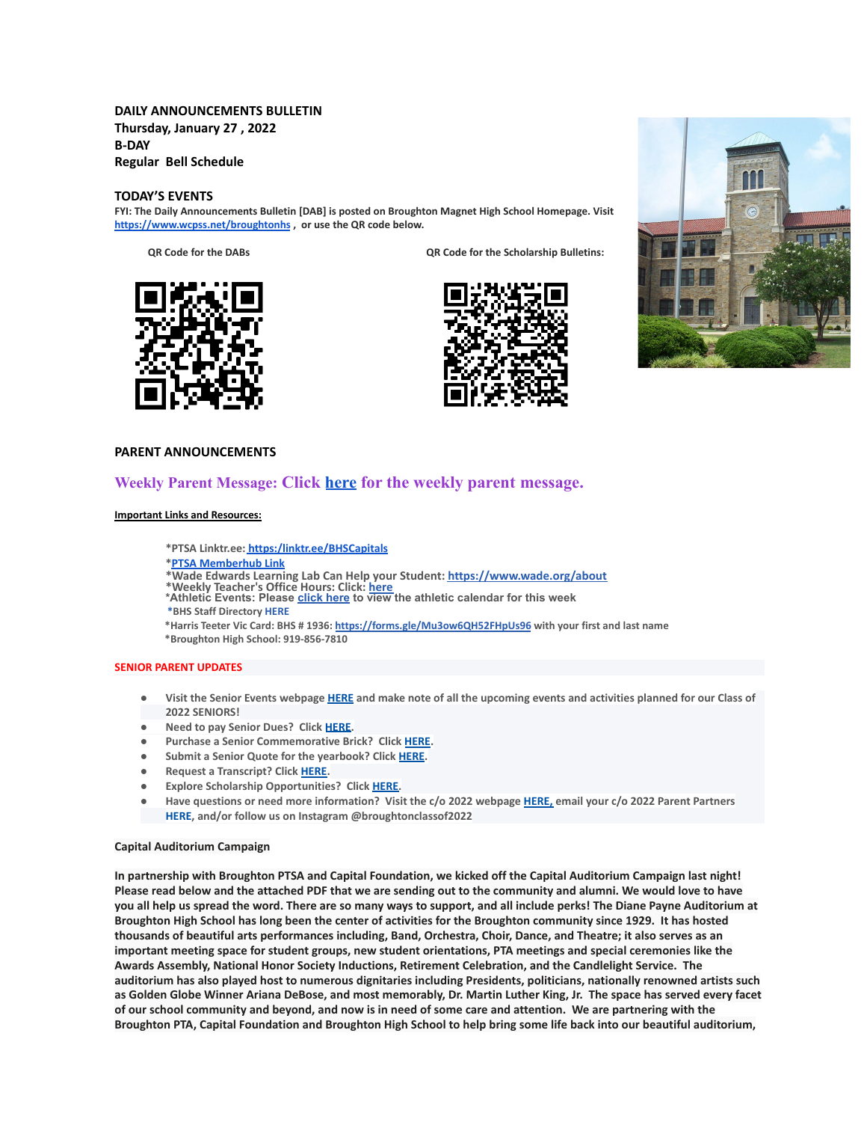## **DAILY ANNOUNCEMENTS BULLETIN Thursday, January 27 , 2022 B-DAY Regular Bell Schedule**

### **TODAY'S EVENTS**

**FYI: The Daily Announcements Bulletin [DAB] is posted on Broughton Magnet High School Homepage. Visit <https://www.wcpss.net/broughtonhs> , or use the QR code below.**

**QR Code for the DABs QR Code for the Scholarship Bulletins:**







### **PARENT ANNOUNCEMENTS**

# **Weekly Parent Message: Click [here](https://docs.google.com/document/d/1bmYpowQOV9Mbx_FVj50r_6xIkwCfBBbBrm_zMGIVLXs/edit?usp=sharing) for the weekly parent message.**

#### **Important Links and Resources:**

**\*PTSA Linktr.ee: [https:/linktr.ee/BHSCapitals](https://linktr.ee/BHSCapitals)**

- **\*PTSA [Memberhub](https://bhs.memberhub.com/store?category=Class%20of%202025) Link**
- **\*Wade Edwards Learning Lab Can Help your Student: <https://www.wade.org/about>**
- 
- \*Weekly Teacher's Office Hours: Click: <u>[here](http://track.spe.schoolmessenger.com/f/a/VXmQUgL3DjY_xouvtQeSYg~~/AAAAAQA~/RgRjH1ehP0QiaHR0cHM6Ly93d3cud2Nwc3MubmV0L2RvbWFpbi8xNzY0MlcHc2Nob29sbUIKYTghJD5h5cteolIYa21jY29ubmVsbEBidWRkZ3JvdXAuY29tWAQAAAAB)</u><br>\*Athletic Events: Please <u>[click](http://track.spe.schoolmessenger.com/f/a/iNb9DXg0NxAeuYTJ_UBTRg~~/AAAAAQA~/RgRjH1ehP0RFaHR0cHM6Ly93d3cud2FrZWNvdW50eWF0aGxldGljcy5jb20vcGFnZS9zaG93LzE5NTI5MzQtbWFzdGVyLWNhbGVuZGFyVwdzY2hvb2xtQgphOCEkPmHly16iUhhrbWNjb25uZWxsQGJ1ZGRncm91cC5jb21YBAAAAAE~) here</u> to view the athletic calendar for this week **\*BHS Staff Directory [HERE](https://www.wcpss.net/Page/45215)**
- **\*Harris Teeter Vic Card: BHS # 1936: <https://forms.gle/Mu3ow6QH52FHpUs96> with your first and last name**

**\*Broughton High School: 919-856-7810**

#### **SENIOR PARENT UPDATES**

- Visit the Senior Events webpage [HERE](https://m7scym5f.r.us-east-1.awstrack.me/L0/https:%2F%2Fwww.wcpss.net%2FPage%2F35370/1/0100017e4478ab83-fd134d52-021b-4d63-891c-31465321890c-000000/l2HEysyraEkyUxmN8Zb7rr0KEog=252) and make note of all the upcoming events and activities planned for our Class of **2022 SENIORS!**
- **● Need to pay Senior Dues? Click [HERE.](https://m7scym5f.r.us-east-1.awstrack.me/L0/https:%2F%2Fwww.wcpss.net%2FPage%2F50324/1/0100017e4478ab83-fd134d52-021b-4d63-891c-31465321890c-000000/ClmJnMcZl7w6dHljZfUUpO1RgFY=252)**
- **● Purchase a Senior Commemorative Brick? Click [HERE](https://m7scym5f.r.us-east-1.awstrack.me/L0/https:%2F%2Fwww.wcpss.net%2FPage%2F50325/1/0100017e4478ab83-fd134d52-021b-4d63-891c-31465321890c-000000/TOIvngfsD6BboqDTmL5ZVjjDlM4=252).**
- **● Submit a Senior Quote for the yearbook? Click [HERE](https://m7scym5f.r.us-east-1.awstrack.me/L0/https:%2F%2Fwww.wcpss.net%2FPage%2F50693/1/0100017e4478ab83-fd134d52-021b-4d63-891c-31465321890c-000000/x07d38IITX0jt5c365wfr4AJB_s=252).**
- **● Request a Transcript? Click [HERE](https://m7scym5f.r.us-east-1.awstrack.me/L0/https:%2F%2Fwww.wcpss.net%2FPage%2F33378/1/0100017e4478ab83-fd134d52-021b-4d63-891c-31465321890c-000000/wkbUPzHaF79-OclNJOg-dOdn-Xk=252).**
- **● Explore Scholarship Opportunities? Click [HERE.](https://m7scym5f.r.us-east-1.awstrack.me/L0/https:%2F%2Fwww.wcpss.net%2FPage%2F50317/1/0100017e4478ab83-fd134d52-021b-4d63-891c-31465321890c-000000/vl1ViXxu5uYo9BoHks452rI6848=252)**
- Have questions or need more information? Visit the c/o 2022 webpage [HERE,](https://m7scym5f.r.us-east-1.awstrack.me/L0/https:%2F%2Fbhs.memberhub.com%2Fw%2F2022/1/0100017e4478ab83-fd134d52-021b-4d63-891c-31465321890c-000000/oTZaKWxhWWOo0o48Mf6887IPe6k=252) email your c/o 2022 Parent Partners **HERE, and/or follow us on Instagram @broughtonclassof2022**

#### **Capital Auditorium Campaign**

**In partnership with Broughton PTSA and Capital Foundation, we kicked off the Capital Auditorium Campaign last night! Please read below and the attached PDF that we are sending out to the community and alumni. We would love to have you all help us spread the word. There are so many ways to support, and all include perks! The Diane Payne Auditorium at Broughton High School has long been the center of activities for the Broughton community since 1929. It has hosted thousands of beautiful arts performances including, Band, Orchestra, Choir, Dance, and Theatre; it also serves as an important meeting space for student groups, new student orientations, PTA meetings and special ceremonies like the Awards Assembly, National Honor Society Inductions, Retirement Celebration, and the Candlelight Service. The auditorium has also played host to numerous dignitaries including Presidents, politicians, nationally renowned artists such as Golden Globe Winner Ariana DeBose, and most memorably, Dr. Martin Luther King, Jr. The space has served every facet of our school community and beyond, and now is in need of some care and attention. We are partnering with the Broughton PTA, Capital Foundation and Broughton High School to help bring some life back into our beautiful auditorium,**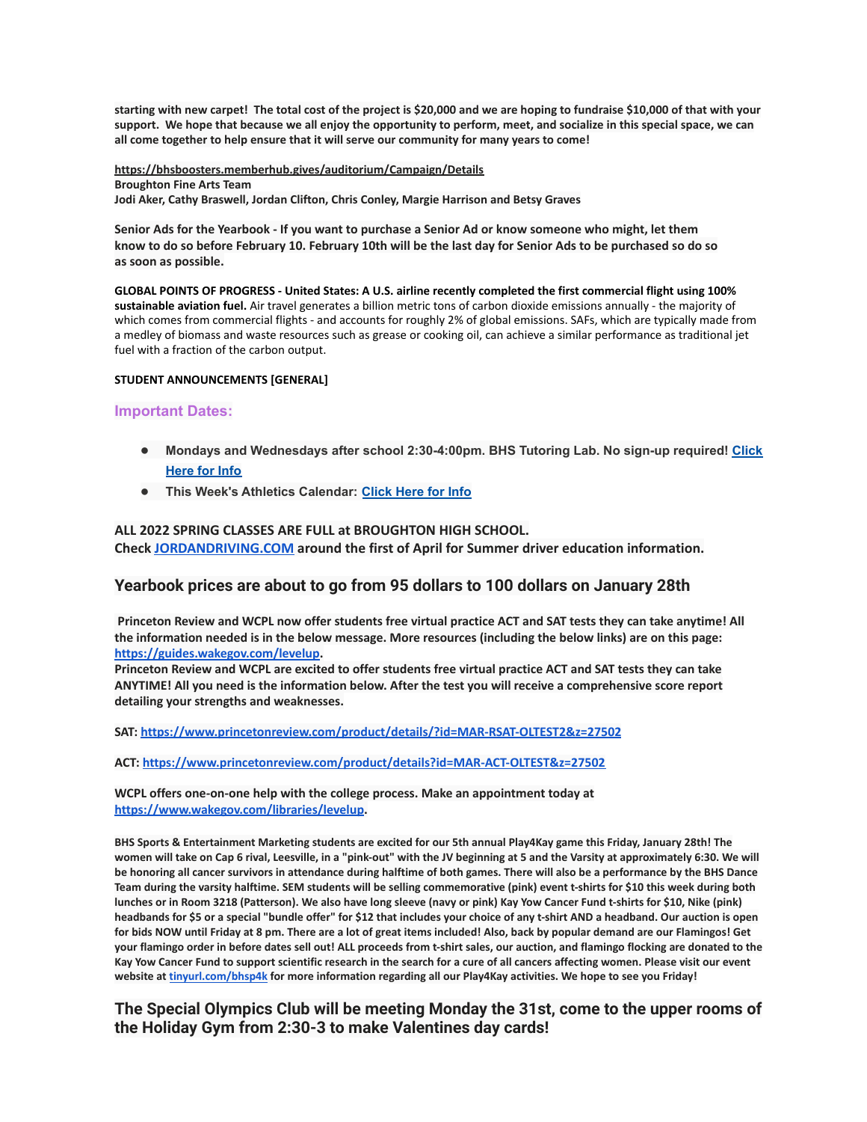**starting with new carpet! The total cost of the project is \$20,000 and we are hoping to fundraise \$10,000 of that with your support. We hope that because we all enjoy the opportunity to perform, meet, and socialize in this special space, we can all come together to help ensure that it will serve our community for many years to come!**

**<https://bhsboosters.memberhub.gives/auditorium/Campaign/Details> Broughton Fine Arts Team Jodi Aker, Cathy Braswell, Jordan Clifton, Chris Conley, Margie Harrison and Betsy Graves**

Senior Ads for the Yearbook - If you want to purchase a Senior Ad or know someone who might, let them know to do so before February 10. February 10th will be the last day for Senior Ads to be purchased so do so **as soon as possible.**

**GLOBAL POINTS OF PROGRESS - United States: A U.S. airline recently completed the first commercial flight using 100% sustainable aviation fuel.** Air travel generates a billion metric tons of carbon dioxide emissions annually - the majority of which comes from commercial flights - and accounts for roughly 2% of global emissions. SAFs, which are typically made from a medley of biomass and waste resources such as grease or cooking oil, can achieve a similar performance as traditional jet fuel with a fraction of the carbon output.

### **STUDENT ANNOUNCEMENTS [GENERAL]**

## **Important Dates:**

- **● Mondays and Wednesdays after school 2:30-4:00pm. BHS Tutoring Lab. No sign-up required! [Click](https://m7scym5f.r.us-east-1.awstrack.me/L0/https:%2F%2Fwww.wcpss.net%2Fsite%2Fdefault.aspx%3FPageType=3%26DomainID=4392%26ModuleInstanceID=21100%26ViewID=6446EE88-D30C-497E-9316-3F8874B3E108%26RenderLoc=0%26FlexDataID=241251%26PageID=9712/1/0100017e2b02233b-2a2771a0-1386-4e8a-844a-4bdf9904ed8a-000000/dk0dCUmX27sls_W8flHXn3LxU-U=251) [Here for Info](https://m7scym5f.r.us-east-1.awstrack.me/L0/https:%2F%2Fwww.wcpss.net%2Fsite%2Fdefault.aspx%3FPageType=3%26DomainID=4392%26ModuleInstanceID=21100%26ViewID=6446EE88-D30C-497E-9316-3F8874B3E108%26RenderLoc=0%26FlexDataID=241251%26PageID=9712/1/0100017e2b02233b-2a2771a0-1386-4e8a-844a-4bdf9904ed8a-000000/dk0dCUmX27sls_W8flHXn3LxU-U=251)**
- **● This Week's Athletics Calendar: [Click Here for Info](https://m7scym5f.r.us-east-1.awstrack.me/L0/https:%2F%2Fwww.wakecountyathletics.com%2Fpage%2Fshow%2F1952934-master-calendar/1/0100017e2b02233b-2a2771a0-1386-4e8a-844a-4bdf9904ed8a-000000/IyYRBiuRdg1s0v8W_tGJnYAFA5g=251)**

## **ALL 2022 SPRING CLASSES ARE FULL at BROUGHTON HIGH SCHOOL.**

**Check [JORDANDRIVING.COM](http://jordandriving.com/) around the first of April for Summer driver education information.**

## **Yearbook prices are about to go from 95 dollars to 100 dollars on January 28th**

Princeton Review and WCPL now offer students free virtual practice ACT and SAT tests they can take anytime! All the information needed is in the below message. More resources (including the below links) are on this page: **[https://guides.wakegov.com/levelup.](https://guides.wakegov.com/levelup)**

Princeton Review and WCPL are excited to offer students free virtual practice ACT and SAT tests they can take ANYTIME! All you need is the information below. After the test you will receive a comprehensive score report **detailing your strengths and weaknesses.**

**SAT: <https://www.princetonreview.com/product/details/?id=MAR-RSAT-OLTEST2&z=27502>**

**ACT: <https://www.princetonreview.com/product/details?id=MAR-ACT-OLTEST&z=27502>**

**WCPL offers one-on-one help with the college process. Make an appointment today at <https://www.wakegov.com/libraries/levelup>.**

BHS Sports & Entertainment Marketing students are excited for our 5th annual Play4Kay game this Friday, January 28th! The women will take on Cap 6 rival, Leesville, in a "pink-out" with the JV beginning at 5 and the Varsity at approximately 6:30. We will be honoring all cancer survivors in attendance during halftime of both games. There will also be a performance by the BHS Dance Team during the varsity halftime. SEM students will be selling commemorative (pink) event t-shirts for \$10 this week during both lunches or in Room 3218 (Patterson). We also have long sleeve (navy or pink) Kay Yow Cancer Fund t-shirts for \$10, Nike (pink) headbands for \$5 or a special "bundle offer" for \$12 that includes your choice of any t-shirt AND a headband. Our auction is open for bids NOW until Friday at 8 pm. There are a lot of great items included! Also, back by popular demand are our Flamingos! Get your flamingo order in before dates sell out! ALL proceeds from t-shirt sales, our auction, and flamingo flocking are donated to the Kay Yow Cancer Fund to support scientific research in the search for a cure of all cancers affecting women. Please visit our event website at [tinyurl.com/bhsp4k](http://tinyurl.com/bhsp4k) for more information regarding all our Play4Kay activities. We hope to see you Friday!

**The Special Olympics Club will be meeting Monday the 31st, come to the upper rooms of the Holiday Gym from 2:30-3 to make Valentines day cards!**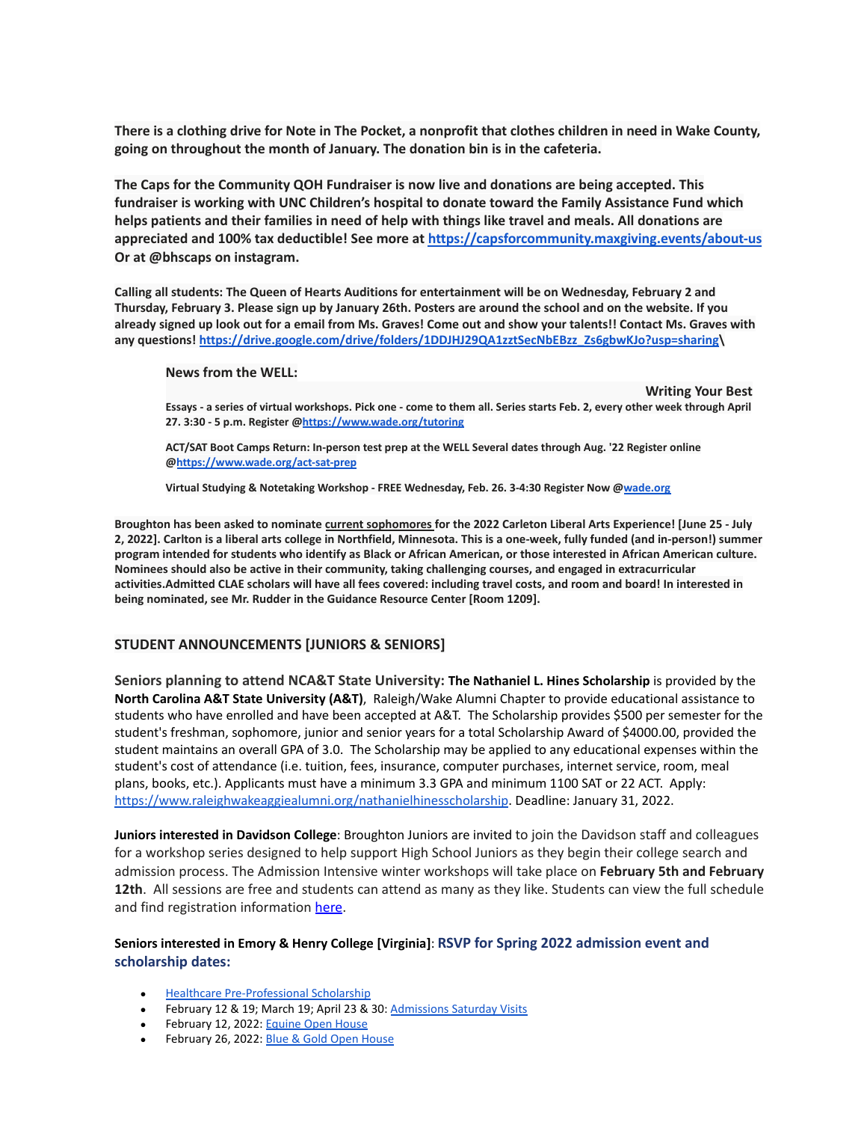**There is a clothing drive for Note in The Pocket, a nonprofit that clothes children in need in Wake County, going on throughout the month of January. The donation bin is in the cafeteria.**

**The Caps for the Community QOH Fundraiser is now live and donations are being accepted. This fundraiser is working with UNC Children's hospital to donate toward the Family Assistance Fund which helps patients and their families in need of help with things like travel and meals. All donations are appreciated and 100% tax deductible! See more at <https://capsforcommunity.maxgiving.events/about-us> Or at @bhscaps on instagram.**

Calling all students: The Queen of Hearts Auditions for entertainment will be on Wednesday, February 2 and Thursday, February 3. Please sign up by January 26th. Posters are around the school and on the website. If you already signed up look out for a email from Ms. Graves! Come out and show your talents!! Contact Ms. Graves with **any questions! [https://drive.google.com/drive/folders/1DDJHJ29QA1zztSecNbEBzz\\_Zs6gbwKJo?usp=sharing\](https://drive.google.com/drive/folders/1DDJHJ29QA1zztSecNbEBzz_Zs6gbwKJo?usp=sharing)**

### **News from the WELL:**

**Writing Your Best** Essays - a series of virtual workshops. Pick one - come to them all. Series starts Feb. 2, every other week through April **27. 3:30 - 5 p.m. Register @<https://www.wade.org/tutoring>**

**ACT/SAT Boot Camps Return: In-person test prep at the WELL Several dates through Aug. '22 Register online @<https://www.wade.org/act-sat-prep>**

**Virtual Studying & Notetaking Workshop - FREE Wednesday, Feb. 26. 3-4:30 Register Now @[wade.org](http://wade.org/)**

**Broughton has been asked to nominate current sophomores for the 2022 Carleton Liberal Arts Experience! [June 25 - July 2, 2022]. Carlton is a liberal arts college in Northfield, Minnesota. This is a one-week, fully funded (and in-person!) summer program intended for students who identify as Black or African American, or those interested in African American culture. Nominees should also be active in their community, taking challenging courses, and engaged in extracurricular activities.Admitted CLAE scholars will have all fees covered: including travel costs, and room and board! In interested in being nominated, see Mr. Rudder in the Guidance Resource Center [Room 1209].**

# **STUDENT ANNOUNCEMENTS [JUNIORS & SENIORS]**

**Seniors planning to attend NCA&T State University: The Nathaniel L. Hines Scholarship** is provided by the **North Carolina A&T State University (A&T)**, Raleigh/Wake Alumni Chapter to provide educational assistance to students who have enrolled and have been accepted at A&T. The Scholarship provides \$500 per semester for the student's freshman, sophomore, junior and senior years for a total Scholarship Award of \$4000.00, provided the student maintains an overall GPA of 3.0. The Scholarship may be applied to any educational expenses within the student's cost of attendance (i.e. tuition, fees, insurance, computer purchases, internet service, room, meal plans, books, etc.). Applicants must have a minimum 3.3 GPA and minimum 1100 SAT or 22 ACT. Apply: <https://www.raleighwakeaggiealumni.org/nathanielhinesscholarship>. Deadline: January 31, 2022.

**Juniors interested in Davidson College**: Broughton Juniors are invited to join the Davidson staff and colleagues for a workshop series designed to help support High School Juniors as they begin their college search and admission process. The Admission Intensive winter workshops will take place on **February 5th and February 12th**. All sessions are free and students can attend as many as they like. Students can view the full schedule and find registration information [here](https://mx.technolutions.net/ss/c/gsby7xed_Q9kJKoUKuDGdMBUG3-78NQfNkUnQGia9F8V-xNN8c3BJdcnQxjLAj_5KyFdjmZKrWbQA9RQ44S1dXRue3ckkqdFSIHeLCL91S0/3iw/VSFX9022RMauN26Ck2oNUg/h0/-I0oxg02W5ANWGFC0ZjLrJX_0kWOoFRpsNcDP__LXSk).

# **Seniors interested in Emory & Henry College [Virginia]**: **RSVP for Spring 2022 admission event and scholarship dates:**

- **[Healthcare Pre-Professional Scholarship](https://api.targetx.com/email-interact/redirect?id=MTEwMDAwOTQyIDcwMTV3MDAwMDAxSXB4OEFBQyBhMTM1dzAwMDAwVmpJZ1RBQVYgMDAzNXcwMDAwM1R2ZmNEQUFS&link=https%3A//www.ehc.edu/academics/pre-health/resources-opportunities/scholarships/&tlink=aHR0cHM6Ly93d3cuZWhjLmVkdS9hY2FkZW1pY3MvcHJlLWhlYWx0aC9yZXNvdXJjZXMtb3Bwb3J0dW5pdGllcy9zY2hvbGFyc2hpcHMv)**
- February 12 & 19; March 19; April 23 & 30: Admissions [Saturday Visits](https://api.targetx.com/email-interact/redirect?id=MTEwMDAwOTQyIDcwMTV3MDAwMDAxSXB4OEFBQyBhMTM1dzAwMDAwVmpJZ1RBQVYgMDAzNXcwMDAwM1R2ZmNEQUFS&link=https%3A//eh.secure.force.com/events/targetX_eventsb__events%23/esr%3Feid%3Da1O5w00000BxPFXEA3&tlink=aHR0cHM6Ly9laC5zZWN1cmUuZm9yY2UuY29tL2V2ZW50cy90YXJnZXRYX2V2ZW50c2JfX2V2ZW50cyMvZXNyP2VpZD1hMU81dzAwMDAwQnhQRlhFQTM%3D)
- February 12, 2022: [Equine Open House](https://api.targetx.com/email-interact/redirect?id=MTEwMDAwOTQyIDcwMTV3MDAwMDAxSXB4OEFBQyBhMTM1dzAwMDAwVmpJZ1RBQVYgMDAzNXcwMDAwM1R2ZmNEQUFS&link=https%3A//www.ehc.edu/live/events/46474-blue-gold-equine-open-house&tlink=aHR0cHM6Ly93d3cuZWhjLmVkdS9saXZlL2V2ZW50cy80NjQ3NC1ibHVlLWdvbGQtZXF1aW5lLW9wZW4taG91c2U%3D)
- February 26, 2022: [Blue & Gold Open House](https://api.targetx.com/email-interact/redirect?id=MTEwMDAwOTQyIDcwMTV3MDAwMDAxSXB4OEFBQyBhMTM1dzAwMDAwVmpJZ1RBQVYgMDAzNXcwMDAwM1R2ZmNEQUFS&link=https%3A//www.ehc.edu/live/events/44700-blue-gold-open-house&tlink=aHR0cHM6Ly93d3cuZWhjLmVkdS9saXZlL2V2ZW50cy80NDcwMC1ibHVlLWdvbGQtb3Blbi1ob3VzZQ%3D%3D)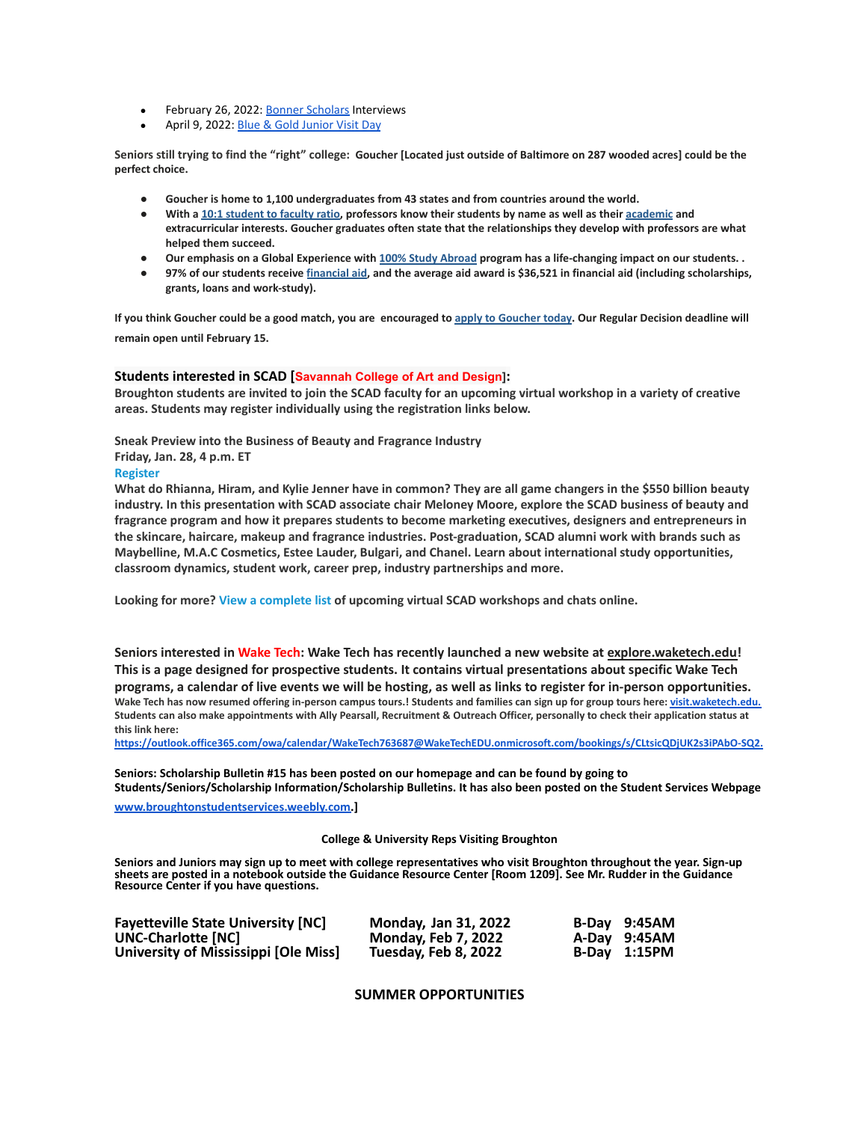- February 26, 2022: [Bonner Scholars](https://api.targetx.com/email-interact/redirect?id=MTEwMDAwOTQyIDcwMTV3MDAwMDAxSXB4OEFBQyBhMTM1dzAwMDAwVmpJZ1RBQVYgMDAzNXcwMDAwM1R2ZmNEQUFS&link=https%3A//www.ehc.edu/civic-engagement/scholarships/&tlink=aHR0cHM6Ly93d3cuZWhjLmVkdS9jaXZpYy1lbmdhZ2VtZW50L3NjaG9sYXJzaGlwcy8%3D) Interviews
- April 9, 2022: [Blue & Gold Junior Visit Day](https://api.targetx.com/email-interact/redirect?id=MTEwMDAwOTQyIDcwMTV3MDAwMDAxSXB4OEFBQyBhMTM1dzAwMDAwVmpJZ1RBQVYgMDAzNXcwMDAwM1R2ZmNEQUFS&link=https%3A//www.ehc.edu/live/events/44701-blue-gold-junior-visit-day&tlink=aHR0cHM6Ly93d3cuZWhjLmVkdS9saXZlL2V2ZW50cy80NDcwMS1ibHVlLWdvbGQtanVuaW9yLXZpc2l0LWRheQ%3D%3D)

**Seniors still trying to find the "right" college: Goucher [Located just outside of Baltimore on 287 wooded acres] could be the perfect choice.**

- **● Goucher is home to 1,100 undergraduates from 43 states and from countries around the world.**
- With a 10:1 [student](https://mx.technolutions.net/ss/c/gsby7xed_Q9kJKoUKuDGdBGkTudmxJPwzv0ALZpEtIFGgicgCf-lU6dH8zrP9TzOm-lufZLEAXYPLG9tMXiVDA/3iz/KxoJjjoZRs-d8asFVEqvNA/h0/mkQNoeSViFobJy5EqENOCLV6J-62TCWpTLulOb7njY0) to faculty ratio, professors know their students by name as well as their [academic](https://mx.technolutions.net/ss/c/gsby7xed_Q9kJKoUKuDGdBnxCz2QkoN2l-ZZCSEjUka7isEiBX7iRep0hcNIWWJQO5aeipLvpWE_JTPtEvy-xA/3iz/KxoJjjoZRs-d8asFVEqvNA/h1/tEKZJp4KwLsM54sGthkNkvuePPtLhG8NGl4wnV-p_Pw) and **extracurricular interests. Goucher graduates often state that the relationships they develop with professors are what helped them succeed.**
- Our emphasis on a Global Experience with 100% Study [Abroad](https://mx.technolutions.net/ss/c/gsby7xed_Q9kJKoUKuDGdBnxCz2QkoN2l-ZZCSEjUkafGdOwVweKfNP1qAz9QCtR10jWlaswq3LzPhj-G90Uzw/3iz/KxoJjjoZRs-d8asFVEqvNA/h2/Uk-BKITHrsTL5viaVmJq6npfLiOuzgUkXzSIbs68DAc) program has a life-changing impact on our students..
- 97% of our students receive [financial](https://mx.technolutions.net/ss/c/gsby7xed_Q9kJKoUKuDGdAExi4xAMbenLMrL7UsNupOJKCKsaCKaiVroA_GMTCYsMyx6OIjqnQDVMzdNlbIaDA/3iz/KxoJjjoZRs-d8asFVEqvNA/h3/ejAwsFQQObC1ENb5kOFJOZpj8BXhr4HvVo5PiLG_Zvw) aid, and the average aid award is \$36,521 in financial aid (including scholarships, **grants, loans and work-study).**

If you think [Goucher](https://mx.technolutions.net/ss/c/gsby7xed_Q9kJKoUKuDGdLtdRj1BOdSoM95feLKVkcy5qU0JsGJDA02_vGQ6kYYDqPsg0lYzsbFqJFwA3deG5Q/3iz/KxoJjjoZRs-d8asFVEqvNA/h4/XhctjrgXbCM6FGoymNTxHuQhUFBgnyCcydAxOFgp23E) could be a good match, you are encouraged to apply to Goucher today. Our Regular Decision deadline will **remain open until February 15.**

### **Students interested in SCAD [Savannah College of Art and Design]:**

Broughton students are invited to join the SCAD faculty for an upcoming virtual workshop in a variety of creative **areas. Students may register individually using the registration links below.**

### **Sneak Preview into the Business of Beauty and Fragrance Industry**

**Friday, Jan. 28, 4 p.m. ET**

### **[Register](https://trk.cp20.com/click/ad0c-2hl338-szo6mz-1xqli858/)**

What do Rhianna, Hiram, and Kylie Jenner have in common? They are all game changers in the \$550 billion beauty industry. In this presentation with SCAD associate chair Meloney Moore, explore the SCAD business of beauty and **fragrance program and how it prepares students to become marketing executives, designers and entrepreneurs in the skincare, haircare, makeup and fragrance industries. Post-graduation, SCAD alumni work with brands such as Maybelline, M.A.C Cosmetics, Estee Lauder, Bulgari, and Chanel. Learn about international study opportunities, classroom dynamics, student work, career prep, industry partnerships and more.**

**Looking for more? View a [complete](https://trk.cp20.com/click/ad0c-2hl338-szo6n0-1xqli855/) list of upcoming virtual SCAD workshops and chats online.**

**Seniors interested in Wake Tech: Wake Tech has recently launched a new website at explore.waketech.edu! This is a page designed for prospective students. It contains virtual presentations about specific Wake Tech** programs, a calendar of live events we will be hosting, as well as links to register for in-person opportunities. Wake Tech has now resumed offering in-person campus tours.! Students and families can sign up for group tours here: [visit.waketech.edu.](https://www.waketech.edu/recruiting-and-outreach/visit-wake-tech) Students can also make appointments with Ally Pearsall, Recruitment & Outreach Officer, personally to check their application status at **this link here:**

**[https://outlook.office365.com/owa/calendar/WakeTech763687@WakeTechEDU.onmicrosoft.com/bookings/s/CLtsicQDjUK2s3iPAbO-SQ2.](https://outlook.office365.com/owa/calendar/WakeTech763687@WakeTechEDU.onmicrosoft.com/bookings/s/CLtsicQDjUK2s3iPAbO-SQ2)**

**Seniors: Scholarship Bulletin #15 has been posted on our homepage and can be found by going to Students/Seniors/Scholarship Information/Scholarship Bulletins. It has also been posted on the Student Services Webpage**

**[www.broughtonstudentservices.weebly.com.](http://www.broughtonstudentservices.weebly.com)]**

#### **College & University Reps Visiting Broughton**

**Seniors and Juniors may sign up to meet with college representatives who visit Broughton throughout the year. Sign-up sheets are posted in a notebook outside the Guidance Resource Center [Room 1209]. See Mr. Rudder in the Guidance Resource Center if you have questions.**

| <b>Fayetteville State University [NC]</b> | <b>Monday, Jan 31, 2022</b> | B-Day 9:45AM |
|-------------------------------------------|-----------------------------|--------------|
| UNC-Charlotte [NC]                        | <b>Monday, Feb 7, 2022</b>  | A-Day 9:45AM |
| University of Mississippi [Ole Miss]      | Tuesday, Feb 8, 2022        | B-Day 1:15PM |

**SUMMER OPPORTUNITIES**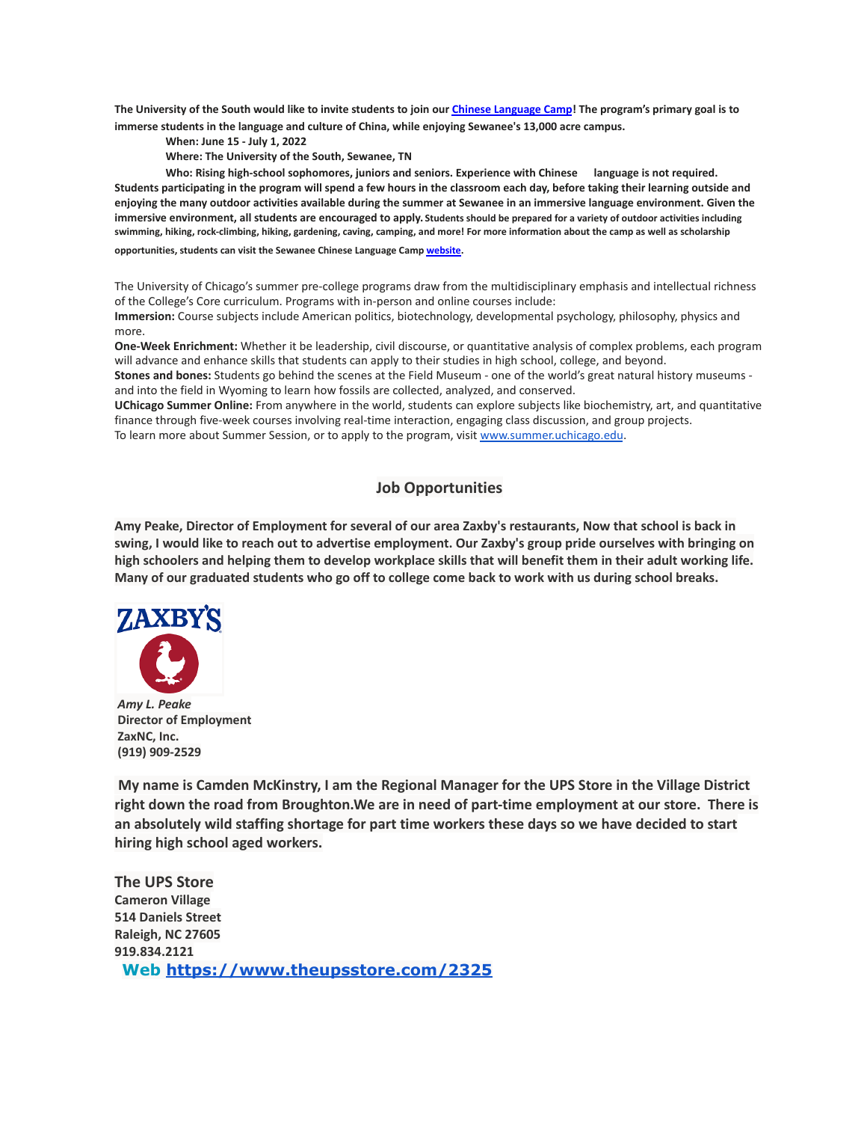The University of the South would like to invite students to join our Chinese [Language](https://mx.technolutions.net/ss/c/eakQ-C8DCmUrd8y7yBWDFiYAOUoJQ4pz7MfbEBpip6l0y_Hm_m-q4S1NAhKySW0l0l52Av-XFInBcX_HbKNhaFaTuY25zEq03f7H2jjkYbiZerVnvT_jJBJvBnD8L-82oFcjCA4feCp5rOrmzPCcig/3h1/Zb0AzY0dSO6ybsQoCzalvA/h1/a-eaRv0bEo5dxrOjmNABke9N9q3IKNCmv7tp3yn1eRg) Camp! The program's primary goal is to **immerse students in the language and culture of China, while enjoying Sewanee's 13,000 acre campus.**

**When: June 15 - July 1, 2022**

**Where: The University of the South, Sewanee, TN**

**Who: Rising high-school sophomores, juniors and seniors. Experience with Chinese language is not required.** Students participating in the program will spend a few hours in the classroom each day, before taking their learning outside and enjoying the many outdoor activities available during the summer at Sewanee in an immersive language environment. Given the **immersive environment, all students are encouraged to apply. Students should be prepared for a variety of outdoor activities including swimming, hiking, rock-climbing, hiking, gardening, caving, camping, and more! For more information about the camp as well as scholarship**

**opportunities, students can visit the Sewanee Chinese Language Camp [website.](https://mx.technolutions.net/ss/c/eakQ-C8DCmUrd8y7yBWDFiYAOUoJQ4pz7MfbEBpip6l0y_Hm_m-q4S1NAhKySW0l0l52Av-XFInBcX_HbKNhaFaTuY25zEq03f7H2jjkYbiZerVnvT_jJBJvBnD8L-82oFcjCA4feCp5rOrmzPCcig/3h1/Zb0AzY0dSO6ybsQoCzalvA/h2/75iusWoe6oX7KGnwrl--J5PGQK1G9zr9iO3WkMg5UHE)**

The University of Chicago's summer pre-college programs draw from the multidisciplinary emphasis and intellectual richness of the College's Core curriculum. Programs with in-person and online courses include: **Immersion:** Course subjects include American politics, biotechnology, developmental psychology, philosophy, physics and

more.

**One-Week Enrichment:** Whether it be leadership, civil discourse, or quantitative analysis of complex problems, each program will advance and enhance skills that students can apply to their studies in high school, college, and beyond.

**Stones and bones:** Students go behind the scenes at the Field Museum - one of the world's great natural history museums and into the field in Wyoming to learn how fossils are collected, analyzed, and conserved.

**UChicago Summer Online:** From anywhere in the world, students can explore subjects like biochemistry, art, and quantitative finance through five-week courses involving real-time interaction, engaging class discussion, and group projects. To learn more about Summer Session, or to apply to the program, visit [www.summer.uchicago.edu](http://www.summer.uchicago.edu).

# **Job Opportunities**

Amy Peake, Director of Employment for several of our area Zaxby's restaurants, Now that school is back in swing, I would like to reach out to advertise employment. Our Zaxby's group pride ourselves with bringing on high schoolers and helping them to develop workplace skills that will benefit them in their adult working life. Many of our graduated students who go off to college come back to work with us during school breaks.



*Amy L. Peake* **Director of Employment ZaxNC, Inc. (919) 909-2529**

**My name is Camden McKinstry, I am the Regional Manager for the UPS Store in the Village District right down the road from Broughton.We are in need of part-time employment at our store. There is an absolutely wild staffing shortage for part time workers these days so we have decided to start hiring high school aged workers.**

**The UPS Store Cameron Village 514 Daniels Street Raleigh, NC 27605 919.834.2121 Web <https://www.theupsstore.com/2325>**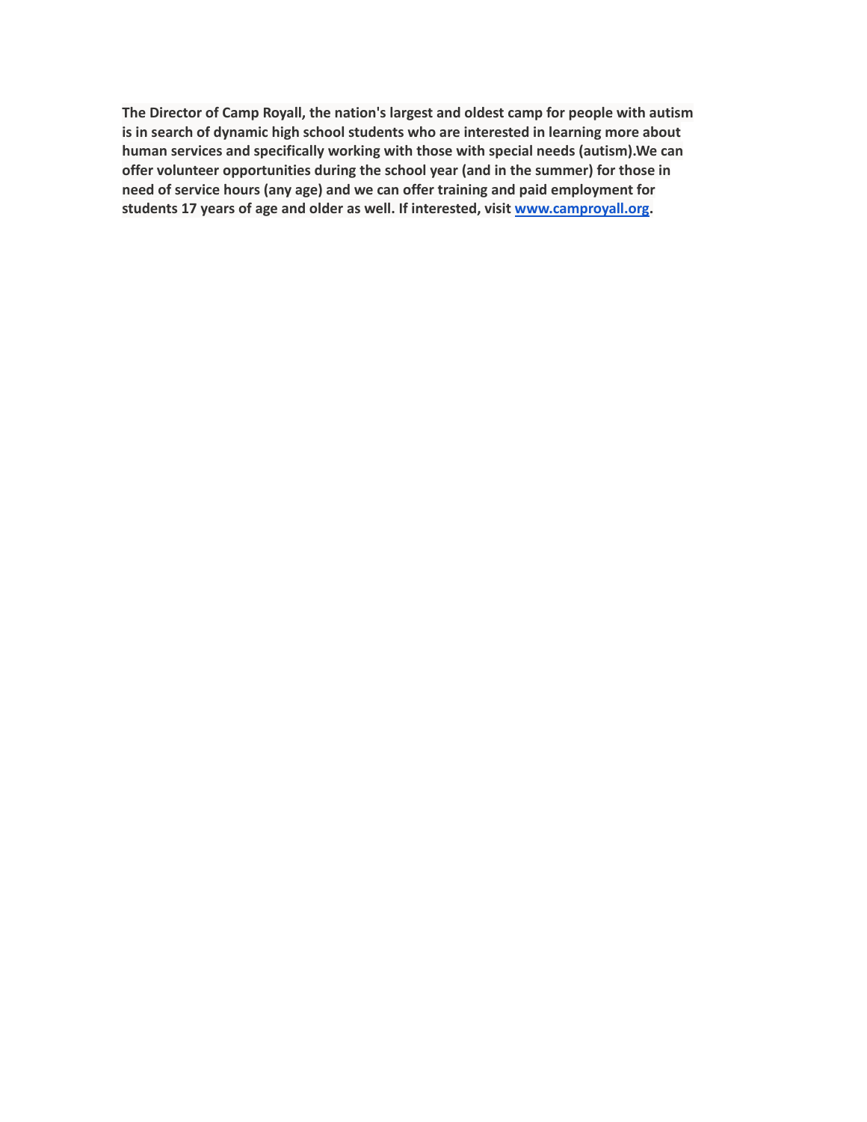**The Director of Camp Royall, the nation's largest and oldest camp for people with autism is in search of dynamic high school students who are interested in learning more about human services and specifically working with those with special needs (autism).We can offer volunteer opportunities during the school year (and in the summer) for those in need of service hours (any age) and we can offer training and paid employment for students 17 years of age and older as well. If interested, visit [www.camproyall.org.](http://www.camproyall.org)**